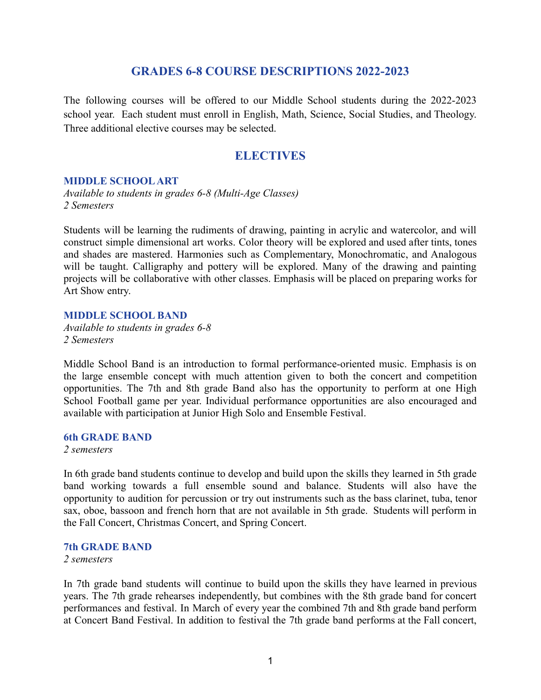# **GRADES 6-8 COURSE DESCRIPTIONS 2022-2023**

The following courses will be offered to our Middle School students during the 2022-2023 school year. Each student must enroll in English, Math, Science, Social Studies, and Theology. Three additional elective courses may be selected.

# **ELECTIVES**

#### **MIDDLE SCHOOL ART**

*Available to students in grades 6-8 (Multi-Age Classes) 2 Semesters*

Students will be learning the rudiments of drawing, painting in acrylic and watercolor, and will construct simple dimensional art works. Color theory will be explored and used after tints, tones and shades are mastered. Harmonies such as Complementary, Monochromatic, and Analogous will be taught. Calligraphy and pottery will be explored. Many of the drawing and painting projects will be collaborative with other classes. Emphasis will be placed on preparing works for Art Show entry.

# **MIDDLE SCHOOL BAND**

*Available to students in grades 6-8 2 Semesters*

Middle School Band is an introduction to formal performance-oriented music. Emphasis is on the large ensemble concept with much attention given to both the concert and competition opportunities. The 7th and 8th grade Band also has the opportunity to perform at one High School Football game per year. Individual performance opportunities are also encouraged and available with participation at Junior High Solo and Ensemble Festival.

### **6th GRADE BAND**

*2 semesters*

In 6th grade band students continue to develop and build upon the skills they learned in 5th grade band working towards a full ensemble sound and balance. Students will also have the opportunity to audition for percussion or try out instruments such as the bass clarinet, tuba, tenor sax, oboe, bassoon and french horn that are not available in 5th grade. Students will perform in the Fall Concert, Christmas Concert, and Spring Concert.

#### **7th GRADE BAND**

*2 semesters*

In 7th grade band students will continue to build upon the skills they have learned in previous years. The 7th grade rehearses independently, but combines with the 8th grade band for concert performances and festival. In March of every year the combined 7th and 8th grade band perform at Concert Band Festival. In addition to festival the 7th grade band performs at the Fall concert,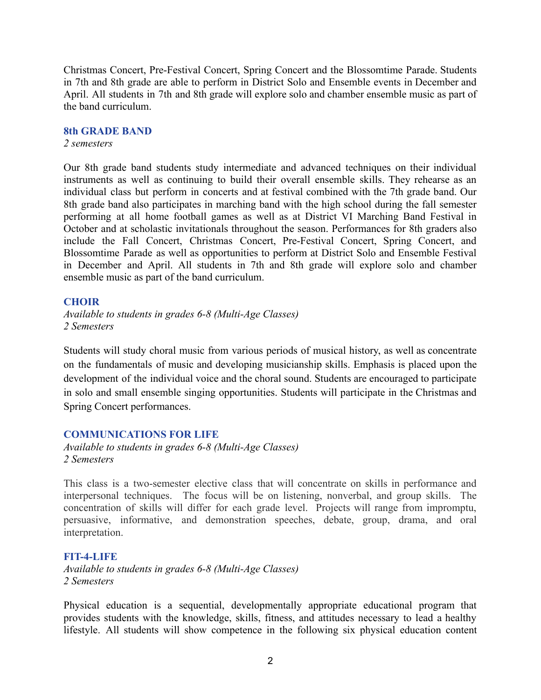Christmas Concert, Pre-Festival Concert, Spring Concert and the Blossomtime Parade. Students in 7th and 8th grade are able to perform in District Solo and Ensemble events in December and April. All students in 7th and 8th grade will explore solo and chamber ensemble music as part of the band curriculum.

#### **8th GRADE BAND**

*2 semesters*

Our 8th grade band students study intermediate and advanced techniques on their individual instruments as well as continuing to build their overall ensemble skills. They rehearse as an individual class but perform in concerts and at festival combined with the 7th grade band. Our 8th grade band also participates in marching band with the high school during the fall semester performing at all home football games as well as at District VI Marching Band Festival in October and at scholastic invitationals throughout the season. Performances for 8th graders also include the Fall Concert, Christmas Concert, Pre-Festival Concert, Spring Concert, and Blossomtime Parade as well as opportunities to perform at District Solo and Ensemble Festival in December and April. All students in 7th and 8th grade will explore solo and chamber ensemble music as part of the band curriculum.

## **CHOIR**

*Available to students in grades 6-8 (Multi-Age Classes) 2 Semesters*

Students will study choral music from various periods of musical history, as well as concentrate on the fundamentals of music and developing musicianship skills. Emphasis is placed upon the development of the individual voice and the choral sound. Students are encouraged to participate in solo and small ensemble singing opportunities. Students will participate in the Christmas and Spring Concert performances.

## **COMMUNICATIONS FOR LIFE**

*Available to students in grades 6-8 (Multi-Age Classes) 2 Semesters*

This class is a two-semester elective class that will concentrate on skills in performance and interpersonal techniques. The focus will be on listening, nonverbal, and group skills. The concentration of skills will differ for each grade level. Projects will range from impromptu, persuasive, informative, and demonstration speeches, debate, group, drama, and oral interpretation.

# **FIT-4-LIFE**

*Available to students in grades 6-8 (Multi-Age Classes) 2 Semesters*

Physical education is a sequential, developmentally appropriate educational program that provides students with the knowledge, skills, fitness, and attitudes necessary to lead a healthy lifestyle. All students will show competence in the following six physical education content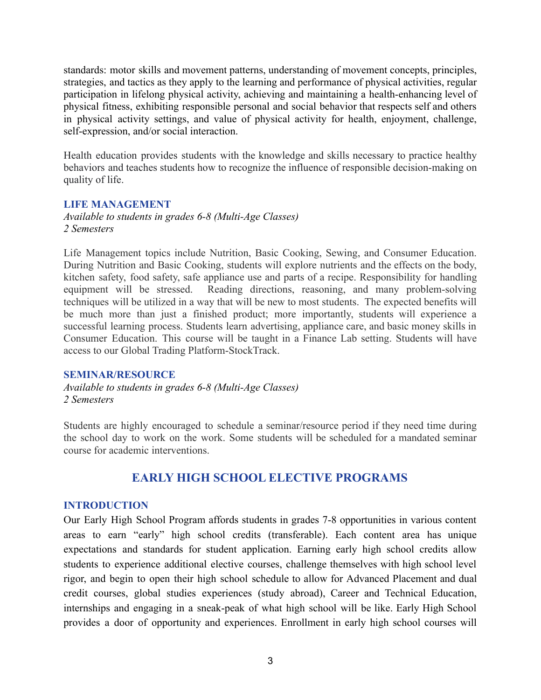standards: motor skills and movement patterns, understanding of movement concepts, principles, strategies, and tactics as they apply to the learning and performance of physical activities, regular participation in lifelong physical activity, achieving and maintaining a health-enhancing level of physical fitness, exhibiting responsible personal and social behavior that respects self and others in physical activity settings, and value of physical activity for health, enjoyment, challenge, self-expression, and/or social interaction.

Health education provides students with the knowledge and skills necessary to practice healthy behaviors and teaches students how to recognize the influence of responsible decision-making on quality of life.

### **LIFE MANAGEMENT**

*Available to students in grades 6-8 (Multi-Age Classes) 2 Semesters*

Life Management topics include Nutrition, Basic Cooking, Sewing, and Consumer Education. During Nutrition and Basic Cooking, students will explore nutrients and the effects on the body, kitchen safety, food safety, safe appliance use and parts of a recipe. Responsibility for handling equipment will be stressed. Reading directions, reasoning, and many problem-solving techniques will be utilized in a way that will be new to most students. The expected benefits will be much more than just a finished product; more importantly, students will experience a successful learning process. Students learn advertising, appliance care, and basic money skills in Consumer Education. This course will be taught in a Finance Lab setting. Students will have access to our Global Trading Platform-StockTrack.

#### **SEMINAR/RESOURCE**

*Available to students in grades 6-8 (Multi-Age Classes) 2 Semesters*

Students are highly encouraged to schedule a seminar/resource period if they need time during the school day to work on the work. Some students will be scheduled for a mandated seminar course for academic interventions.

# **EARLY HIGH SCHOOL ELECTIVE PROGRAMS**

## **INTRODUCTION**

Our Early High School Program affords students in grades 7-8 opportunities in various content areas to earn "early" high school credits (transferable). Each content area has unique expectations and standards for student application. Earning early high school credits allow students to experience additional elective courses, challenge themselves with high school level rigor, and begin to open their high school schedule to allow for Advanced Placement and dual credit courses, global studies experiences (study abroad), Career and Technical Education, internships and engaging in a sneak-peak of what high school will be like. Early High School provides a door of opportunity and experiences. Enrollment in early high school courses will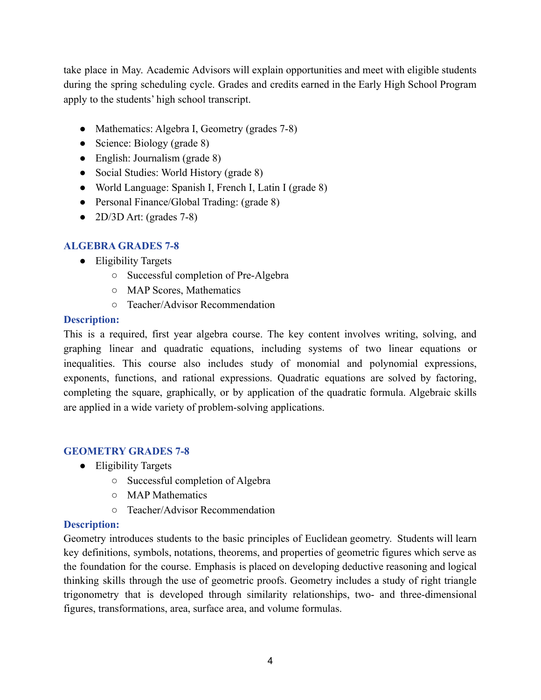take place in May. Academic Advisors will explain opportunities and meet with eligible students during the spring scheduling cycle. Grades and credits earned in the Early High School Program apply to the students' high school transcript.

- Mathematics: Algebra I, Geometry (grades 7-8)
- Science: Biology (grade 8)
- English: Journalism (grade 8)
- Social Studies: World History (grade 8)
- World Language: Spanish I, French I, Latin I (grade 8)
- Personal Finance/Global Trading: (grade 8)
- $\bullet$  2D/3D Art: (grades 7-8)

# **ALGEBRA GRADES 7-8**

- Eligibility Targets
	- Successful completion of Pre-Algebra
	- MAP Scores, Mathematics
	- Teacher/Advisor Recommendation

# **Description:**

This is a required, first year algebra course. The key content involves writing, solving, and graphing linear and quadratic equations, including systems of two linear equations or inequalities. This course also includes study of monomial and polynomial expressions, exponents, functions, and rational expressions. Quadratic equations are solved by factoring, completing the square, graphically, or by application of the quadratic formula. Algebraic skills are applied in a wide variety of problem-solving applications.

# **GEOMETRY GRADES 7-8**

- Eligibility Targets
	- Successful completion of Algebra
	- MAP Mathematics
	- Teacher/Advisor Recommendation

# **Description:**

Geometry introduces students to the basic principles of Euclidean geometry. Students will learn key definitions, symbols, notations, theorems, and properties of geometric figures which serve as the foundation for the course. Emphasis is placed on developing deductive reasoning and logical thinking skills through the use of geometric proofs. Geometry includes a study of right triangle trigonometry that is developed through similarity relationships, two- and three-dimensional figures, transformations, area, surface area, and volume formulas.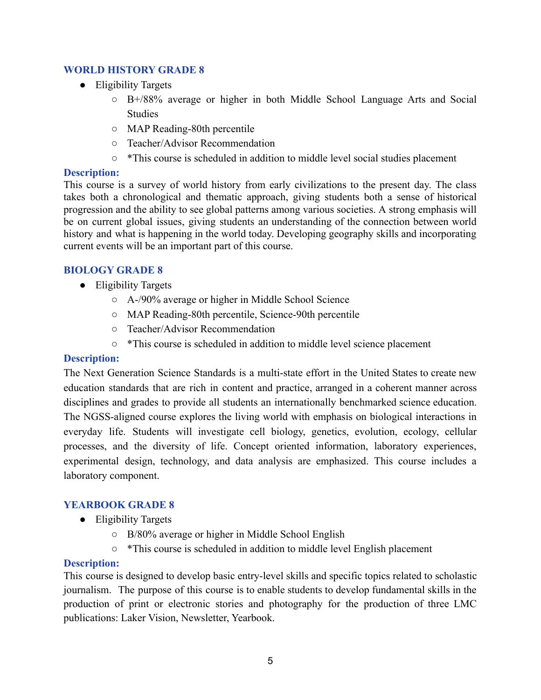# **WORLD HISTORY GRADE 8**

- Eligibility Targets
	- $\circ$  B+/88% average or higher in both Middle School Language Arts and Social **Studies**
	- MAP Reading-80th percentile
	- Teacher/Advisor Recommendation
	- \*This course is scheduled in addition to middle level social studies placement

# **Description:**

This course is a survey of world history from early civilizations to the present day. The class takes both a chronological and thematic approach, giving students both a sense of historical progression and the ability to see global patterns among various societies. A strong emphasis will be on current global issues, giving students an understanding of the connection between world history and what is happening in the world today. Developing geography skills and incorporating current events will be an important part of this course.

# **BIOLOGY GRADE 8**

- Eligibility Targets
	- A-/90% average or higher in Middle School Science
	- MAP Reading-80th percentile, Science-90th percentile
	- Teacher/Advisor Recommendation
	- \*This course is scheduled in addition to middle level science placement

# **Description:**

The Next Generation Science Standards is a multi-state effort in the United States to create new education standards that are rich in content and practice, arranged in a coherent manner across disciplines and grades to provide all students an internationally benchmarked science education. The NGSS-aligned course explores the living world with emphasis on biological interactions in everyday life. Students will investigate cell biology, genetics, evolution, ecology, cellular processes, and the diversity of life. Concept oriented information, laboratory experiences, experimental design, technology, and data analysis are emphasized. This course includes a laboratory component.

# **YEARBOOK GRADE 8**

- Eligibility Targets
	- B/80% average or higher in Middle School English
	- \*This course is scheduled in addition to middle level English placement

# **Description:**

This course is designed to develop basic entry-level skills and specific topics related to scholastic journalism. The purpose of this course is to enable students to develop fundamental skills in the production of print or electronic stories and photography for the production of three LMC publications: Laker Vision, Newsletter, Yearbook.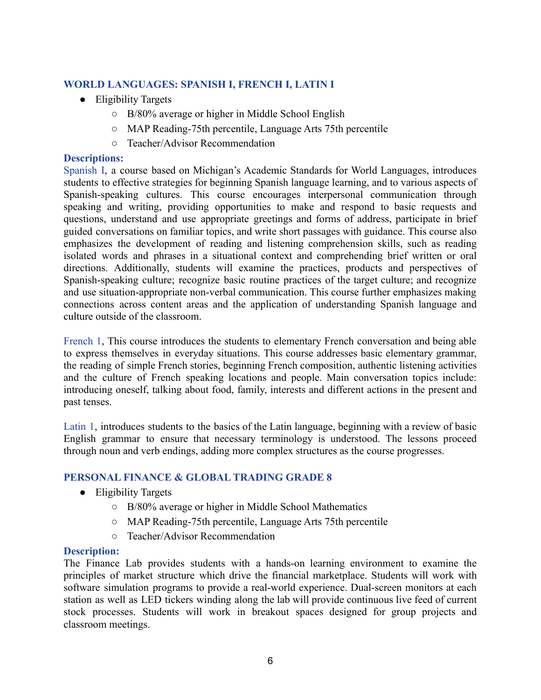# **WORLD LANGUAGES: SPANISH I, FRENCH I, LATIN I**

- Eligibility Targets
	- B/80% average or higher in Middle School English
	- MAP Reading-75th percentile, Language Arts 75th percentile
	- Teacher/Advisor Recommendation

# **Descriptions:**

Spanish I, a course based on Michigan's Academic Standards for World Languages, introduces students to effective strategies for beginning Spanish language learning, and to various aspects of Spanish-speaking cultures. This course encourages interpersonal communication through speaking and writing, providing opportunities to make and respond to basic requests and questions, understand and use appropriate greetings and forms of address, participate in brief guided conversations on familiar topics, and write short passages with guidance. This course also emphasizes the development of reading and listening comprehension skills, such as reading isolated words and phrases in a situational context and comprehending brief written or oral directions. Additionally, students will examine the practices, products and perspectives of Spanish-speaking culture; recognize basic routine practices of the target culture; and recognize and use situation-appropriate non-verbal communication. This course further emphasizes making connections across content areas and the application of understanding Spanish language and culture outside of the classroom.

French 1, This course introduces the students to elementary French conversation and being able to express themselves in everyday situations. This course addresses basic elementary grammar, the reading of simple French stories, beginning French composition, authentic listening activities and the culture of French speaking locations and people. Main conversation topics include: introducing oneself, talking about food, family, interests and different actions in the present and past tenses.

Latin 1, introduces students to the basics of the Latin language, beginning with a review of basic English grammar to ensure that necessary terminology is understood. The lessons proceed through noun and verb endings, adding more complex structures as the course progresses.

# **PERSONAL FINANCE & GLOBAL TRADING GRADE 8**

- Eligibility Targets
	- B/80% average or higher in Middle School Mathematics
	- MAP Reading-75th percentile, Language Arts 75th percentile
	- Teacher/Advisor Recommendation

# **Description:**

The Finance Lab provides students with a hands-on learning environment to examine the principles of market structure which drive the financial marketplace. Students will work with software simulation programs to provide a real-world experience. Dual-screen monitors at each station as well as LED tickers winding along the lab will provide continuous live feed of current stock processes. Students will work in breakout spaces designed for group projects and classroom meetings.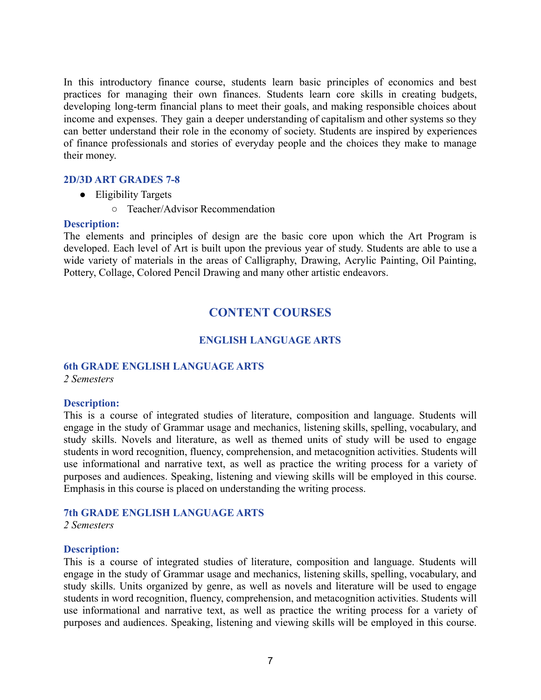In this introductory finance course, students learn basic principles of economics and best practices for managing their own finances. Students learn core skills in creating budgets, developing long-term financial plans to meet their goals, and making responsible choices about income and expenses. They gain a deeper understanding of capitalism and other systems so they can better understand their role in the economy of society. Students are inspired by experiences of finance professionals and stories of everyday people and the choices they make to manage their money.

## **2D/3D ART GRADES 7-8**

- Eligibility Targets
	- Teacher/Advisor Recommendation

#### **Description:**

The elements and principles of design are the basic core upon which the Art Program is developed. Each level of Art is built upon the previous year of study. Students are able to use a wide variety of materials in the areas of Calligraphy, Drawing, Acrylic Painting, Oil Painting, Pottery, Collage, Colored Pencil Drawing and many other artistic endeavors.

# **CONTENT COURSES**

# **ENGLISH LANGUAGE ARTS**

## **6th GRADE ENGLISH LANGUAGE ARTS**

*2 Semesters*

## **Description:**

This is a course of integrated studies of literature, composition and language. Students will engage in the study of Grammar usage and mechanics, listening skills, spelling, vocabulary, and study skills. Novels and literature, as well as themed units of study will be used to engage students in word recognition, fluency, comprehension, and metacognition activities. Students will use informational and narrative text, as well as practice the writing process for a variety of purposes and audiences. Speaking, listening and viewing skills will be employed in this course. Emphasis in this course is placed on understanding the writing process.

## **7th GRADE ENGLISH LANGUAGE ARTS**

*2 Semesters*

#### **Description:**

This is a course of integrated studies of literature, composition and language. Students will engage in the study of Grammar usage and mechanics, listening skills, spelling, vocabulary, and study skills. Units organized by genre, as well as novels and literature will be used to engage students in word recognition, fluency, comprehension, and metacognition activities. Students will use informational and narrative text, as well as practice the writing process for a variety of purposes and audiences. Speaking, listening and viewing skills will be employed in this course.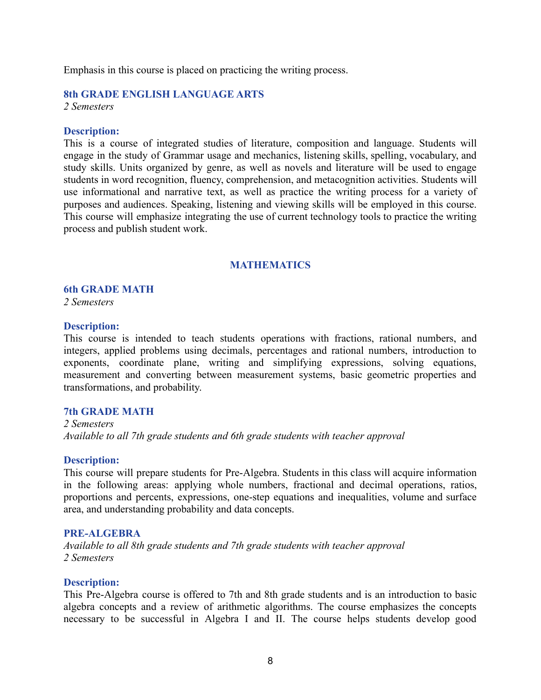Emphasis in this course is placed on practicing the writing process.

# **8th GRADE ENGLISH LANGUAGE ARTS**

*2 Semesters*

## **Description:**

This is a course of integrated studies of literature, composition and language. Students will engage in the study of Grammar usage and mechanics, listening skills, spelling, vocabulary, and study skills. Units organized by genre, as well as novels and literature will be used to engage students in word recognition, fluency, comprehension, and metacognition activities. Students will use informational and narrative text, as well as practice the writing process for a variety of purposes and audiences. Speaking, listening and viewing skills will be employed in this course. This course will emphasize integrating the use of current technology tools to practice the writing process and publish student work.

## **MATHEMATICS**

#### **6th GRADE MATH**

*2 Semesters*

#### **Description:**

This course is intended to teach students operations with fractions, rational numbers, and integers, applied problems using decimals, percentages and rational numbers, introduction to exponents, coordinate plane, writing and simplifying expressions, solving equations, measurement and converting between measurement systems, basic geometric properties and transformations, and probability.

#### **7th GRADE MATH**

*2 Semesters Available to all 7th grade students and 6th grade students with teacher approval*

## **Description:**

This course will prepare students for Pre-Algebra. Students in this class will acquire information in the following areas: applying whole numbers, fractional and decimal operations, ratios, proportions and percents, expressions, one-step equations and inequalities, volume and surface area, and understanding probability and data concepts.

#### **PRE-ALGEBRA**

*Available to all 8th grade students and 7th grade students with teacher approval 2 Semesters*

#### **Description:**

This Pre-Algebra course is offered to 7th and 8th grade students and is an introduction to basic algebra concepts and a review of arithmetic algorithms. The course emphasizes the concepts necessary to be successful in Algebra I and II. The course helps students develop good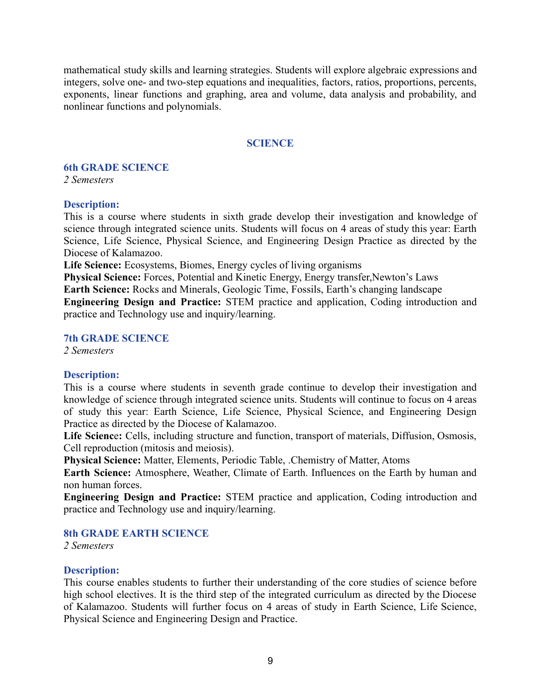mathematical study skills and learning strategies. Students will explore algebraic expressions and integers, solve one- and two-step equations and inequalities, factors, ratios, proportions, percents, exponents, linear functions and graphing, area and volume, data analysis and probability, and nonlinear functions and polynomials.

## **SCIENCE**

#### **6th GRADE SCIENCE**

*2 Semesters*

## **Description:**

This is a course where students in sixth grade develop their investigation and knowledge of science through integrated science units. Students will focus on 4 areas of study this year: Earth Science, Life Science, Physical Science, and Engineering Design Practice as directed by the Diocese of Kalamazoo.

**Life Science:** Ecosystems, Biomes, Energy cycles of living organisms

**Physical Science:** Forces, Potential and Kinetic Energy, Energy transfer,Newton's Laws

**Earth Science:** Rocks and Minerals, Geologic Time, Fossils, Earth's changing landscape

**Engineering Design and Practice:** STEM practice and application, Coding introduction and practice and Technology use and inquiry/learning.

#### **7th GRADE SCIENCE**

*2 Semesters*

## **Description:**

This is a course where students in seventh grade continue to develop their investigation and knowledge of science through integrated science units. Students will continue to focus on 4 areas of study this year: Earth Science, Life Science, Physical Science, and Engineering Design Practice as directed by the Diocese of Kalamazoo.

**Life Scienc**e**:** Cells, including structure and function, transport of materials, Diffusion, Osmosis, Cell reproduction (mitosis and meiosis).

**Physical Science:** Matter, Elements, Periodic Table, .Chemistry of Matter, Atoms

**Earth Science:** Atmosphere, Weather, Climate of Earth. Influences on the Earth by human and non human forces.

**Engineering Design and Practice:** STEM practice and application, Coding introduction and practice and Technology use and inquiry/learning.

## **8th GRADE EARTH SCIENCE**

*2 Semesters*

## **Description:**

This course enables students to further their understanding of the core studies of science before high school electives. It is the third step of the integrated curriculum as directed by the Diocese of Kalamazoo. Students will further focus on 4 areas of study in Earth Science, Life Science, Physical Science and Engineering Design and Practice.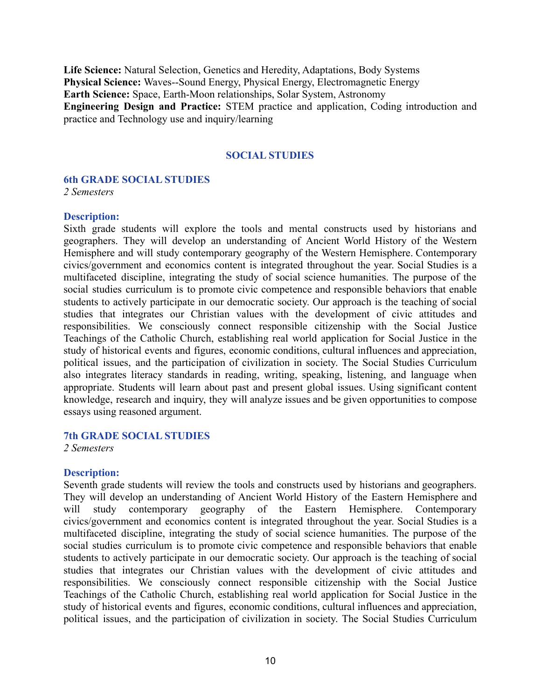**Life Science:** Natural Selection, Genetics and Heredity, Adaptations, Body Systems **Physical Science:** Waves--Sound Energy, Physical Energy, Electromagnetic Energy **Earth Science:** Space, Earth-Moon relationships, Solar System, Astronomy **Engineering Design and Practice:** STEM practice and application, Coding introduction and practice and Technology use and inquiry/learning

## **SOCIAL STUDIES**

#### **6th GRADE SOCIAL STUDIES**

*2 Semesters*

#### **Description:**

Sixth grade students will explore the tools and mental constructs used by historians and geographers. They will develop an understanding of Ancient World History of the Western Hemisphere and will study contemporary geography of the Western Hemisphere. Contemporary civics/government and economics content is integrated throughout the year. Social Studies is a multifaceted discipline, integrating the study of social science humanities. The purpose of the social studies curriculum is to promote civic competence and responsible behaviors that enable students to actively participate in our democratic society. Our approach is the teaching of social studies that integrates our Christian values with the development of civic attitudes and responsibilities. We consciously connect responsible citizenship with the Social Justice Teachings of the Catholic Church, establishing real world application for Social Justice in the study of historical events and figures, economic conditions, cultural influences and appreciation, political issues, and the participation of civilization in society. The Social Studies Curriculum also integrates literacy standards in reading, writing, speaking, listening, and language when appropriate. Students will learn about past and present global issues. Using significant content knowledge, research and inquiry, they will analyze issues and be given opportunities to compose essays using reasoned argument.

#### **7th GRADE SOCIAL STUDIES**

*2 Semesters*

#### **Description:**

Seventh grade students will review the tools and constructs used by historians and geographers. They will develop an understanding of Ancient World History of the Eastern Hemisphere and will study contemporary geography of the Eastern Hemisphere. Contemporary civics/government and economics content is integrated throughout the year. Social Studies is a multifaceted discipline, integrating the study of social science humanities. The purpose of the social studies curriculum is to promote civic competence and responsible behaviors that enable students to actively participate in our democratic society. Our approach is the teaching of social studies that integrates our Christian values with the development of civic attitudes and responsibilities. We consciously connect responsible citizenship with the Social Justice Teachings of the Catholic Church, establishing real world application for Social Justice in the study of historical events and figures, economic conditions, cultural influences and appreciation, political issues, and the participation of civilization in society. The Social Studies Curriculum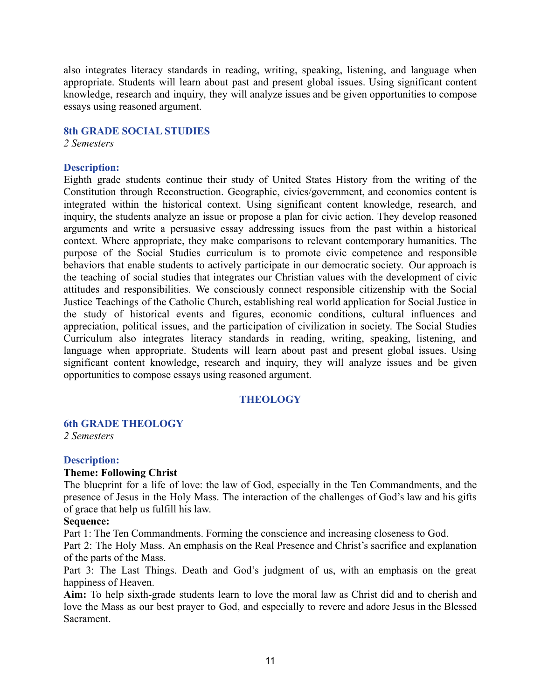also integrates literacy standards in reading, writing, speaking, listening, and language when appropriate. Students will learn about past and present global issues. Using significant content knowledge, research and inquiry, they will analyze issues and be given opportunities to compose essays using reasoned argument.

#### **8th GRADE SOCIAL STUDIES**

*2 Semesters*

## **Description:**

Eighth grade students continue their study of United States History from the writing of the Constitution through Reconstruction. Geographic, civics/government, and economics content is integrated within the historical context. Using significant content knowledge, research, and inquiry, the students analyze an issue or propose a plan for civic action. They develop reasoned arguments and write a persuasive essay addressing issues from the past within a historical context. Where appropriate, they make comparisons to relevant contemporary humanities. The purpose of the Social Studies curriculum is to promote civic competence and responsible behaviors that enable students to actively participate in our democratic society. Our approach is the teaching of social studies that integrates our Christian values with the development of civic attitudes and responsibilities. We consciously connect responsible citizenship with the Social Justice Teachings of the Catholic Church, establishing real world application for Social Justice in the study of historical events and figures, economic conditions, cultural influences and appreciation, political issues, and the participation of civilization in society. The Social Studies Curriculum also integrates literacy standards in reading, writing, speaking, listening, and language when appropriate. Students will learn about past and present global issues. Using significant content knowledge, research and inquiry, they will analyze issues and be given opportunities to compose essays using reasoned argument.

# **THEOLOGY**

# **6th GRADE THEOLOGY**

*2 Semesters*

## **Description:**

## **Theme: Following Christ**

The blueprint for a life of love: the law of God, especially in the Ten Commandments, and the presence of Jesus in the Holy Mass. The interaction of the challenges of God's law and his gifts of grace that help us fulfill his law.

## **Sequence:**

Part 1: The Ten Commandments. Forming the conscience and increasing closeness to God.

Part 2: The Holy Mass. An emphasis on the Real Presence and Christ's sacrifice and explanation of the parts of the Mass.

Part 3: The Last Things. Death and God's judgment of us, with an emphasis on the great happiness of Heaven.

**Aim:** To help sixth-grade students learn to love the moral law as Christ did and to cherish and love the Mass as our best prayer to God, and especially to revere and adore Jesus in the Blessed Sacrament.